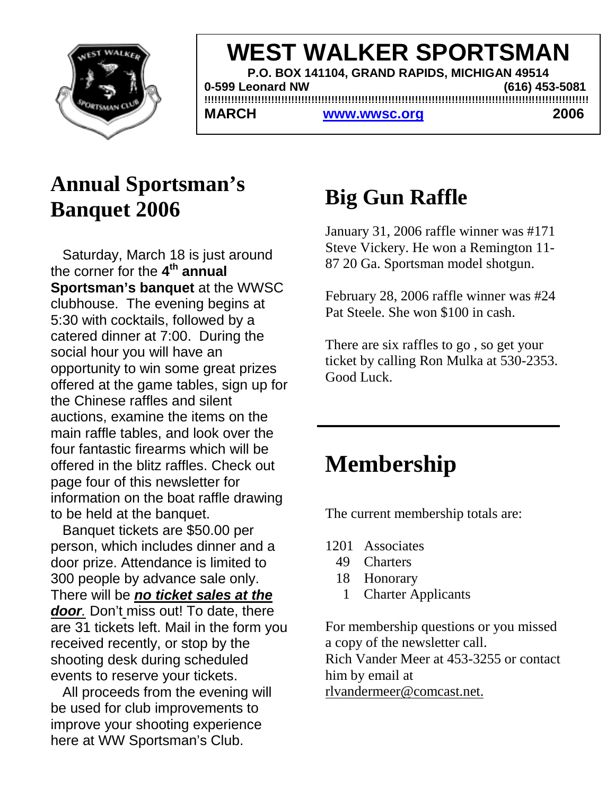

AL KED CDODTCMA there! **WEST WALKER SPORTSMAN P.O. BOX 141104, GRAND RAPIDS, MICHIGAN 49514 0-599 Leonard NW (616) 453-5081 !!!!!!!!!!!!!!!!!!!!!!!!!!!!!!!!!!!!!!!!!!!!!!!!!!!!!!!!!!!!!!!!!!!!!!!!!!!!!!!!!!!!!!!!!!!!!!!!!!!!!!!!!!!!!!!!!!!** MARCH www.wwsc.org 2006

## **Annual Sportsman's Banquet 2006**

 Saturday, March 18 is just around the corner for the **4th annual Sportsman's banquet** at the WWSC clubhouse. The evening begins at 5:30 with cocktails, followed by a catered dinner at 7:00. During the social hour you will have an opportunity to win some great prizes offered at the game tables, sign up for the Chinese raffles and silent auctions, examine the items on the main raffle tables, and look over the four fantastic firearms which will be offered in the blitz raffles. Check out page four of this newsletter for information on the boat raffle drawing to be held at the banquet.

 Banquet tickets are \$50.00 per person, which includes dinner and a door prize. Attendance is limited to 300 people by advance sale only. There will be *no ticket sales at the door.* Don't miss out! To date, there are 31 tickets left. Mail in the form you received recently, or stop by the shooting desk during scheduled events to reserve your tickets.

 All proceeds from the evening will be used for club improvements to improve your shooting experience here at WW Sportsman's Club.

## **Big Gun Raffle**

January 31, 2006 raffle winner was #171 Steve Vickery. He won a Remington 11- 87 20 Ga. Sportsman model shotgun.

February 28, 2006 raffle winner was #24 Pat Steele. She won \$100 in cash.

There are six raffles to go , so get your ticket by calling Ron Mulka at 530-2353. Good Luck.

# **Membership**

The current membership totals are:

- 1201 Associates
	- 49 Charters
	- 18 Honorary
		- 1 Charter Applicants

For membership questions or you missed a copy of the newsletter call. Rich Vander Meer at 453-3255 or contact him by email at rlvandermeer@comcast.net.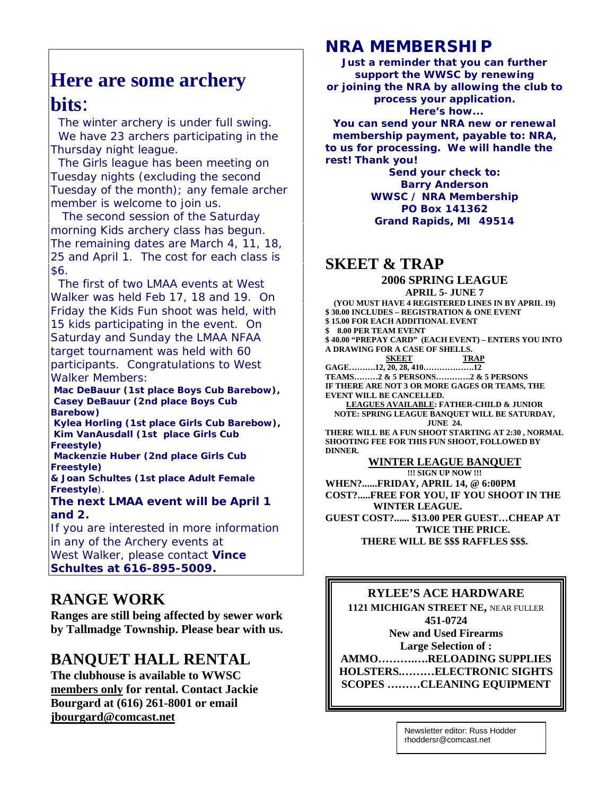### **Here are some archery bits**:

 The winter archery is under full swing. We have 23 archers participating in the Thursday night league.

 The Girls league has been meeting on Tuesday nights (excluding the second Tuesday of the month); any female archer member is welcome to join us.

 The second session of the Saturday morning Kids archery class has begun. The remaining dates are March 4, 11, 18, 25 and April 1. The cost for each class is \$6.

 The first of two LMAA events at West Walker was held Feb 17, 18 and 19. On Friday the Kids Fun shoot was held, with 15 kids participating in the event. On Saturday and Sunday the LMAA NFAA target tournament was held with 60 participants. Congratulations to West Walker Members:

 **Mac DeBauur (1st place Boys Cub Barebow), Casey DeBauur (2nd place Boys Cub Barebow)**

 **Kylea Horling (1st place Girls Cub Barebow), Kim VanAusdall (1st place Girls Cub Freestyle)**

 **Mackenzie Huber (2nd place Girls Cub Freestyle)**

**& Joan Schultes (1st place Adult Female Freestyle**).

**The next LMAA event will be April 1 and 2.**

If you are interested in more information in any of the Archery events at West Walker, please contact **Vince Schultes at 616-895-5009.**

#### **RANGE WORK**

**Ranges are still being affected by sewer work by Tallmadge Township. Please bear with us.**

#### **BANQUET HALL RENTAL**

**The clubhouse is available to WWSC members only for rental. Contact Jackie Bourgard at (616) 261-8001 or email jbourgard@comcast.net**

### **NRA MEMBERSHIP**

**Just a reminder that you can further support the WWSC by renewing or joining the NRA by allowing the club to process your application. Here's how... You can send your NRA new or renewal membership payment, payable to: NRA, to us for processing. We will handle the rest! Thank you!**

**Send your check to: Barry Anderson WWSC / NRA Membership PO Box 141362 Grand Rapids, MI 49514**

#### **SKEET & TRAP**

#### **2006 SPRING LEAGUE APRIL 5- JUNE 7**

**(YOU MUST HAVE 4 REGISTERED LINES IN BY APRIL 19) \$ 30.00 INCLUDES – REGISTRATION & ONE EVENT \$ 15.00 FOR EACH ADDITIONAL EVENT \$ 8.00 PER TEAM EVENT \$ 40.00 "PREPAY CARD" (EACH EVENT) – ENTERS YOU INTO A DRAWING FOR A CASE OF SHELLS. SKEET TRAP GAGE……….12, 20, 28, 410……………….12 TEAMS………2 & 5 PERSONS………….2 & 5 PERSONS IF THERE ARE NOT 3 OR MORE GAGES OR TEAMS, THE EVENT WILL BE CANCELLED. LEAGUES AVAILABLE: FATHER-CHILD & JUNIOR NOTE: SPRING LEAGUE BANQUET WILL BE SATURDAY, JUNE 24. THERE WILL BE A FUN SHOOT STARTING AT 2:30 , NORMAL SHOOTING FEE FOR THIS FUN SHOOT, FOLLOWED BY DINNER. WINTER LEAGUE BANQUET**

**!!! SIGN UP NOW !!! WHEN?......FRIDAY, APRIL 14, @ 6:00PM COST?.....FREE FOR YOU, IF YOU SHOOT IN THE WINTER LEAGUE. GUEST COST?...... \$13.00 PER GUEST…CHEAP AT TWICE THE PRICE. THERE WILL BE \$\$\$ RAFFLES \$\$\$.**

#### **RYLEE'S ACE HARDWARE**

**1121 MICHIGAN STREET NE,** NEAR FULLER **451-0724 New and Used Firearms Large Selection of : AMMO……….….RELOADING SUPPLIES HOLSTERS.………ELECTRONIC SIGHTS SCOPES ………CLEANING EQUIPMENT**

> Newsletter editor: Russ Hodder rhoddersr@comcast.net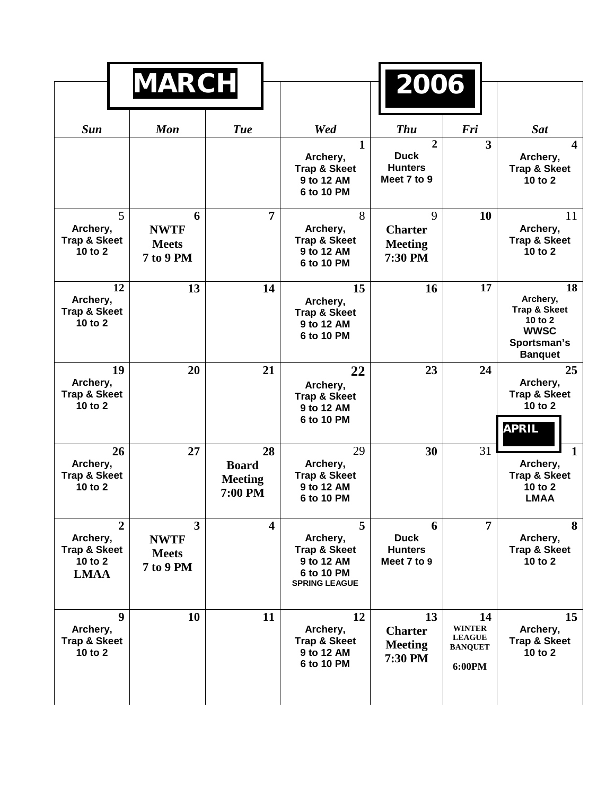| <b>MARCH</b>                                                                    |                                                      |                                                 |                                                                                              | 2006                                                           |                                                                  |                                                                                                        |
|---------------------------------------------------------------------------------|------------------------------------------------------|-------------------------------------------------|----------------------------------------------------------------------------------------------|----------------------------------------------------------------|------------------------------------------------------------------|--------------------------------------------------------------------------------------------------------|
|                                                                                 |                                                      |                                                 |                                                                                              |                                                                |                                                                  |                                                                                                        |
| <b>Sun</b>                                                                      | <b>Mon</b>                                           | <b>Tue</b>                                      | Wed                                                                                          | <b>Thu</b>                                                     | Fri                                                              | <b>Sat</b>                                                                                             |
|                                                                                 |                                                      |                                                 | 1<br>Archery,<br><b>Trap &amp; Skeet</b><br>9 to 12 AM<br>6 to 10 PM                         | $\overline{2}$<br><b>Duck</b><br><b>Hunters</b><br>Meet 7 to 9 | 3                                                                | $\overline{\mathbf{4}}$<br>Archery,<br><b>Trap &amp; Skeet</b><br>10 to $2$                            |
| 5<br>Archery,<br><b>Trap &amp; Skeet</b><br>10 to 2                             | 6<br><b>NWTF</b><br><b>Meets</b><br><b>7 to 9 PM</b> | $\overline{7}$                                  | 8<br>Archery,<br><b>Trap &amp; Skeet</b><br>9 to 12 AM<br>6 to 10 PM                         | 9<br><b>Charter</b><br><b>Meeting</b><br>7:30 PM               | 10                                                               | 11<br>Archery,<br><b>Trap &amp; Skeet</b><br>10 to 2                                                   |
| 12<br>Archery,<br><b>Trap &amp; Skeet</b><br>10 to 2                            | 13                                                   | 14                                              | 15<br>Archery,<br><b>Trap &amp; Skeet</b><br>9 to 12 AM<br>6 to 10 PM                        | 16                                                             | 17                                                               | 18<br>Archery,<br><b>Trap &amp; Skeet</b><br>10 to $2$<br><b>WWSC</b><br>Sportsman's<br><b>Banquet</b> |
| 19<br>Archery,<br><b>Trap &amp; Skeet</b><br>10 to $2$                          | 20                                                   | 21                                              | 22<br>Archery,<br><b>Trap &amp; Skeet</b><br>9 to 12 AM<br>6 to 10 PM                        | 23                                                             | 24                                                               | 25<br>Archery,<br><b>Trap &amp; Skeet</b><br>10 to 2<br><b>APRIL</b>                                   |
| 26<br>Archery,<br><b>Trap &amp; Skeet</b><br>10 to $2$                          | 27                                                   | 28<br><b>Board</b><br><b>Meeting</b><br>7:00 PM | 29<br>Archery,<br><b>Trap &amp; Skeet</b><br>9 to 12 AM<br>6 to 10 PM                        | 30                                                             | 31                                                               | Archery,<br><b>Trap &amp; Skeet</b><br>10 to 2<br><b>LMAA</b>                                          |
| $\overline{2}$<br>Archery,<br><b>Trap &amp; Skeet</b><br>10 to 2<br><b>LMAA</b> | 3<br><b>NWTF</b><br><b>Meets</b><br>7 to 9 PM        | $\overline{\mathbf{4}}$                         | 5<br>Archery,<br><b>Trap &amp; Skeet</b><br>9 to 12 AM<br>6 to 10 PM<br><b>SPRING LEAGUE</b> | 6<br><b>Duck</b><br><b>Hunters</b><br>Meet 7 to 9              | 7                                                                | 8<br>Archery,<br><b>Trap &amp; Skeet</b><br>10 to 2                                                    |
| 9<br>Archery,<br><b>Trap &amp; Skeet</b><br>10 to 2                             | 10                                                   | 11                                              | 12<br>Archery,<br><b>Trap &amp; Skeet</b><br>9 to 12 AM<br>6 to 10 PM                        | 13<br><b>Charter</b><br><b>Meeting</b><br>7:30 PM              | 14<br><b>WINTER</b><br><b>LEAGUE</b><br><b>BANQUET</b><br>6:00PM | 15<br>Archery,<br><b>Trap &amp; Skeet</b><br>10 to 2                                                   |